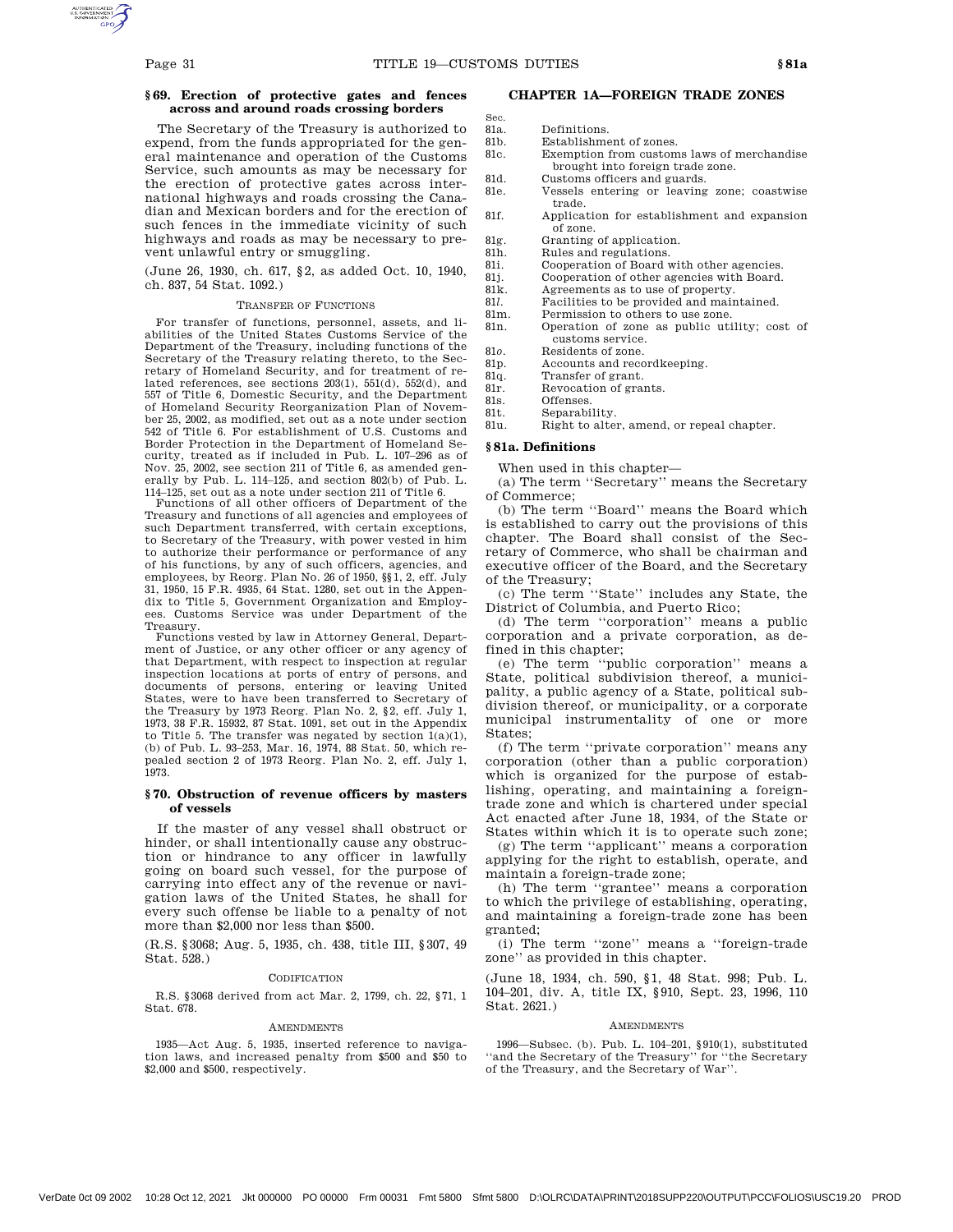Sec.

# **§ 69. Erection of protective gates and fences across and around roads crossing borders**

The Secretary of the Treasury is authorized to expend, from the funds appropriated for the general maintenance and operation of the Customs Service, such amounts as may be necessary for the erection of protective gates across international highways and roads crossing the Canadian and Mexican borders and for the erection of such fences in the immediate vicinity of such highways and roads as may be necessary to prevent unlawful entry or smuggling.

(June 26, 1930, ch. 617, §2, as added Oct. 10, 1940, ch. 837, 54 Stat. 1092.)

### TRANSFER OF FUNCTIONS

For transfer of functions, personnel, assets, and liabilities of the United States Customs Service of the Department of the Treasury, including functions of the Secretary of the Treasury relating thereto, to the Secretary of Homeland Security, and for treatment of re-lated references, see sections 203(1), 551(d), 552(d), and 557 of Title 6, Domestic Security, and the Department of Homeland Security Reorganization Plan of Novem-ber 25, 2002, as modified, set out as a note under section 542 of Title 6. For establishment of U.S. Customs and Border Protection in the Department of Homeland Security, treated as if included in Pub. L. 107–296 as of Nov. 25, 2002, see section 211 of Title 6, as amended generally by Pub. L. 114–125, and section 802(b) of Pub. L. 114–125, set out as a note under section 211 of Title 6.

Functions of all other officers of Department of the Treasury and functions of all agencies and employees of such Department transferred, with certain exceptions, to Secretary of the Treasury, with power vested in him to authorize their performance or performance of any of his functions, by any of such officers, agencies, and employees, by Reorg. Plan No. 26 of 1950, §§1, 2, eff. July 31, 1950, 15 F.R. 4935, 64 Stat. 1280, set out in the Appendix to Title 5, Government Organization and Employees. Customs Service was under Department of the Treasury.

Functions vested by law in Attorney General, Department of Justice, or any other officer or any agency of that Department, with respect to inspection at regular inspection locations at ports of entry of persons, and documents of persons, entering or leaving United States, were to have been transferred to Secretary of the Treasury by 1973 Reorg. Plan No. 2, §2, eff. July 1, 1973, 38 F.R. 15932, 87 Stat. 1091, set out in the Appendix to Title 5. The transfer was negated by section  $1(a)(1)$ , (b) of Pub. L. 93–253, Mar. 16, 1974, 88 Stat. 50, which repealed section 2 of 1973 Reorg. Plan No. 2, eff. July 1, 1973.

### **§ 70. Obstruction of revenue officers by masters of vessels**

If the master of any vessel shall obstruct or hinder, or shall intentionally cause any obstruction or hindrance to any officer in lawfully going on board such vessel, for the purpose of carrying into effect any of the revenue or navigation laws of the United States, he shall for every such offense be liable to a penalty of not more than \$2,000 nor less than \$500.

(R.S. §3068; Aug. 5, 1935, ch. 438, title III, §307, 49 Stat. 528.)

#### CODIFICATION

R.S. §3068 derived from act Mar. 2, 1799, ch. 22, §71, 1 Stat. 678

#### AMENDMENTS

1935—Act Aug. 5, 1935, inserted reference to navigation laws, and increased penalty from \$500 and \$50 to \$2,000 and \$500, respectively.

# **CHAPTER 1A—FOREIGN TRADE ZONES**

- 81a. Definitions.<br>81b. Establishme
	- Establishment of zones.
- 81c. Exemption from customs laws of merchandise brought into foreign trade zone.
- 81d. Customs officers and guards.
- 81e. Vessels entering or leaving zone; coastwise trade.
- 81f. Application for establishment and expansion of zone.
- 81g. Granting of application.<br>81h. Rules and regulations.
	- Rules and regulations.
- 81i. Cooperation of Board with other agencies.
- 81j. Cooperation of other agencies with Board.
- 81k. Agreements as to use of property. 81*l.* Facilities to be provided and maintained.
- 81m. Permission to others to use zone.
- 81n. Operation of zone as public utility; cost of customs service.
- 81*o.* Residents of zone.
- 81p. Accounts and recordkeeping.
- 81q. Transfer of grant.
- 81r. Revocation of grants.
- 81s. Offenses.
- 81t. Separability.
- 81u. Right to alter, amend, or repeal chapter.

### **§ 81a. Definitions**

When used in this chapter—

(a) The term ''Secretary'' means the Secretary of Commerce;

(b) The term ''Board'' means the Board which is established to carry out the provisions of this chapter. The Board shall consist of the Secretary of Commerce, who shall be chairman and executive officer of the Board, and the Secretary of the Treasury;

(c) The term ''State'' includes any State, the District of Columbia, and Puerto Rico;

(d) The term ''corporation'' means a public corporation and a private corporation, as defined in this chapter;

(e) The term ''public corporation'' means a State, political subdivision thereof, a municipality, a public agency of a State, political subdivision thereof, or municipality, or a corporate municipal instrumentality of one or more States;

(f) The term ''private corporation'' means any corporation (other than a public corporation) which is organized for the purpose of establishing, operating, and maintaining a foreigntrade zone and which is chartered under special Act enacted after June 18, 1934, of the State or States within which it is to operate such zone;

(g) The term ''applicant'' means a corporation applying for the right to establish, operate, and maintain a foreign-trade zone;

(h) The term ''grantee'' means a corporation to which the privilege of establishing, operating, and maintaining a foreign-trade zone has been granted;

(i) The term ''zone'' means a ''foreign-trade zone'' as provided in this chapter.

(June 18, 1934, ch. 590, §1, 48 Stat. 998; Pub. L. 104–201, div. A, title IX, §910, Sept. 23, 1996, 110 Stat. 2621.)

#### **AMENDMENTS**

1996—Subsec. (b). Pub. L. 104–201, §910(1), substituted ''and the Secretary of the Treasury'' for ''the Secretary of the Treasury, and the Secretary of War''.